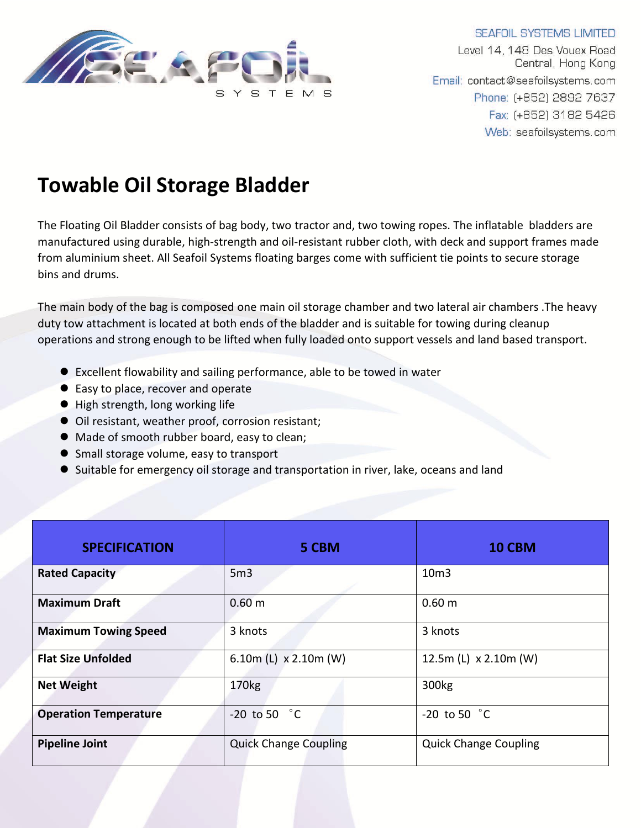

**SEAFOIL SYSTEMS LIMITED** Level 14, 148 Des Vouex Road Central, Hong Kong Email: contact@seafoilsystems.com Phone: (+852) 2892 7637 Fax: (+852) 3182 5426 Web: seafoilsystems.com

## **Towable Oil Storage Bladder**

The Floating Oil Bladder consists of bag body, two tractor and, two towing ropes. The inflatable bladders are manufactured using durable, high-strength and oil-resistant rubber cloth, with deck and support frames made from aluminium sheet. All Seafoil Systems floating barges come with sufficient tie points to secure storage bins and drums.

The main body of the bag is composed one main oil storage chamber and two lateral air chambers .The heavy duty tow attachment is located at both ends of the bladder and is suitable for towing during cleanup operations and strong enough to be lifted when fully loaded onto support vessels and land based transport.

- Excellent flowability and sailing performance, able to be towed in water
- Easy to place, recover and operate
- High strength, long working life
- Oil resistant, weather proof, corrosion resistant;
- $\bullet$  Made of smooth rubber board, easy to clean;
- **•** Small storage volume, easy to transport
- Suitable for emergency oil storage and transportation in river, lake, oceans and land

| <b>SPECIFICATION</b>         | 5 CBM                        | <b>10 CBM</b>                |
|------------------------------|------------------------------|------------------------------|
| <b>Rated Capacity</b>        | 5 <sub>m3</sub>              | 10 <sub>m3</sub>             |
| <b>Maximum Draft</b>         | 0.60 <sub>m</sub>            | 0.60 m                       |
| <b>Maximum Towing Speed</b>  | 3 knots                      | 3 knots                      |
| <b>Flat Size Unfolded</b>    | 6.10m (L) $\times$ 2.10m (W) | 12.5m (L) x 2.10m (W)        |
| <b>Net Weight</b>            | 170kg                        | 300kg                        |
| <b>Operation Temperature</b> | $-20$ to 50 $°C$             | $-20$ to 50 $\degree$ C      |
| <b>Pipeline Joint</b>        | <b>Quick Change Coupling</b> | <b>Quick Change Coupling</b> |